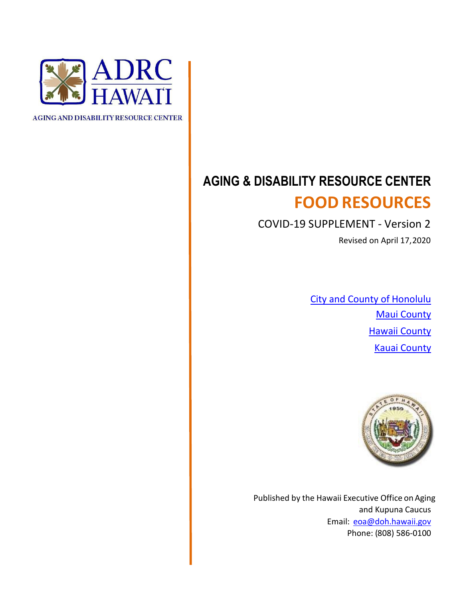

**AGING AND DISABILITY RESOURCE CENTER** 

## **AGING & DISABILITY RESOURCE CENTER FOOD RESOURCES**

COVID-19 SUPPLEMENT - Version 2

Revised on April 17,2020

City and County of Honolulu **Maui County** Hawaii County Kauai County



Published by the Hawaii Executive Office on Aging and Kupuna Caucus Email: [eoa@doh.hawaii.gov](mailto:eoa@doh.hawaii.gov) Phone: (808) 586-0100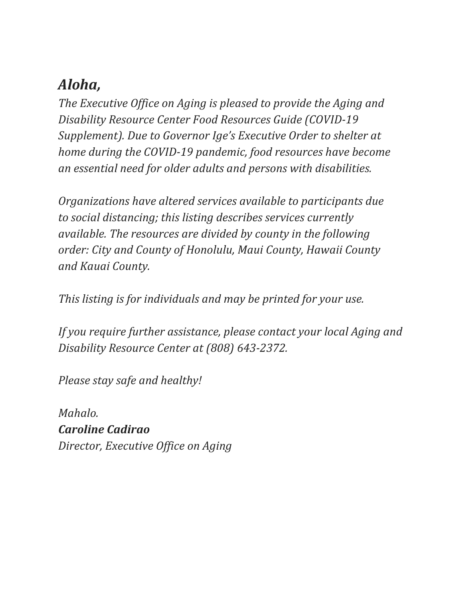## *Aloha,*

*The Executive Office on Aging is pleased to provide the Aging and Disability Resource Center Food Resources Guide (COVID-19 Supplement). Due to Governor Ige's Executive Order to shelter at home during the COVID-19 pandemic, food resources have become an essential need for older adults and persons with disabilities.*

*Organizations have altered services available to participants due to social distancing; this listing describes services currently available. The resources are divided by county in the following order: City and County of Honolulu, Maui County, Hawaii County and Kauai County.*

*This listing is for individuals and may be printed for your use.*

*If you require further assistance, please contact your local Aging and Disability Resource Center at (808) 643-2372.*

*Please stay safe and healthy!* 

*Mahalo. Caroline Cadirao Director, Executive Office on Aging*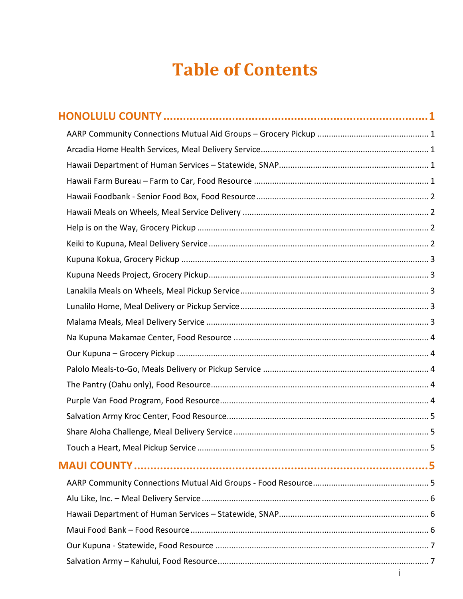# **Table of Contents**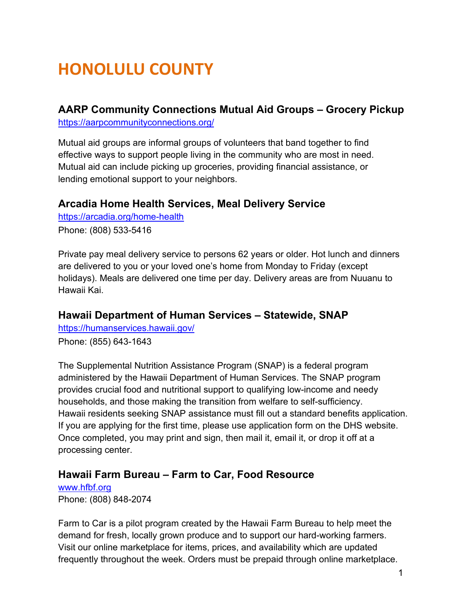# <span id="page-5-0"></span>**HONOLULU COUNTY**

### <span id="page-5-1"></span>**AARP Community Connections Mutual Aid Groups – Grocery Pickup** <https://aarpcommunityconnections.org/>

Mutual aid groups are informal groups of volunteers that band together to find effective ways to support people living in the community who are most in need. Mutual aid can include picking up groceries, providing financial assistance, or lending emotional support to your neighbors.

### <span id="page-5-2"></span>**Arcadia Home Health Services, Meal Delivery Service**

<https://arcadia.org/home-health>

Phone: (808) 533-5416

Private pay meal delivery service to persons 62 years or older. Hot lunch and dinners are delivered to you or your loved one's home from Monday to Friday (except holidays). Meals are delivered one time per day. Delivery areas are from Nuuanu to Hawaii Kai.

### <span id="page-5-3"></span>**Hawaii Department of Human Services – Statewide, SNAP**

<https://humanservices.hawaii.gov/> Phone: (855) 643-1643

The Supplemental Nutrition Assistance Program (SNAP) is a federal program administered by the Hawaii Department of Human Services. The SNAP program provides crucial food and nutritional support to qualifying low-income and needy households, and those making the transition from welfare to self-sufficiency. Hawaii residents seeking SNAP assistance must fill out a standard benefits application. If you are applying for the first time, please use application form on the DHS website. Once completed, you may print and sign, then mail it, email it, or drop it off at a processing center.

### <span id="page-5-4"></span>**Hawaii Farm Bureau – Farm to Car, Food Resource**

[www.hfbf.org](http://www.hfbf.org/) Phone: (808) 848-2074

Farm to Car is a pilot program created by the Hawaii Farm Bureau to help meet the demand for fresh, locally grown produce and to support our hard-working farmers. Visit our online marketplace for items, prices, and availability which are updated frequently throughout the week. Orders must be prepaid through online marketplace.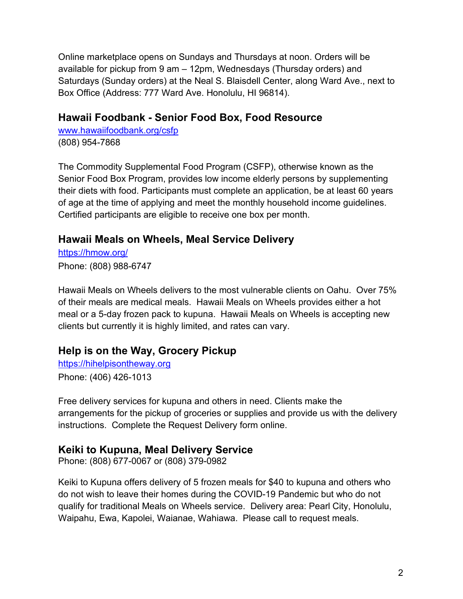Online marketplace opens on Sundays and Thursdays at noon. Orders will be available for pickup from 9 am – 12pm, Wednesdays (Thursday orders) and Saturdays (Sunday orders) at the Neal S. Blaisdell Center, along Ward Ave., next to Box Office (Address: 777 Ward Ave. Honolulu, HI 96814).

### <span id="page-6-0"></span>**Hawaii Foodbank - Senior Food Box, Food Resource**

[www.hawaiifoodbank.org/csfp](http://www.hawaiifoodbank.org/csfp) (808) 954-7868

The Commodity Supplemental Food Program (CSFP), otherwise known as the Senior Food Box Program, provides low income elderly persons by supplementing their diets with food. Participants must complete an application, be at least 60 years of age at the time of applying and meet the monthly household income guidelines. Certified participants are eligible to receive one box per month.

### <span id="page-6-1"></span>**Hawaii Meals on Wheels, Meal Service Delivery**

<https://hmow.org/> Phone: (808) 988-6747

Hawaii Meals on Wheels delivers to the most vulnerable clients on Oahu. Over 75% of their meals are medical meals. Hawaii Meals on Wheels provides either a hot meal or a 5-day frozen pack to kupuna. Hawaii Meals on Wheels is accepting new clients but currently it is highly limited, and rates can vary.

### <span id="page-6-2"></span>**[Help is on the Way, Grocery P](https://hihelpisontheway.org/)ickup**

[https://hihelpisontheway.org](https://hihelpisontheway.org/) Phone: (406) 426-1013

Free delivery services for kupuna and others in need. Clients make the arrangements for the pickup of groceries or supplies and provide us with the delivery instructions. Complete the Request Delivery form online.

### <span id="page-6-3"></span>**Keiki to Kupuna, Meal Delivery Service**

Phone: (808) 677-0067 or (808) 379-0982

Keiki to Kupuna offers delivery of 5 frozen meals for \$40 to kupuna and others who do not wish to leave their homes during the COVID-19 Pandemic but who do not qualify for traditional Meals on Wheels service. Delivery area: Pearl City, Honolulu, Waipahu, Ewa, Kapolei, Waianae, Wahiawa. Please call to request meals.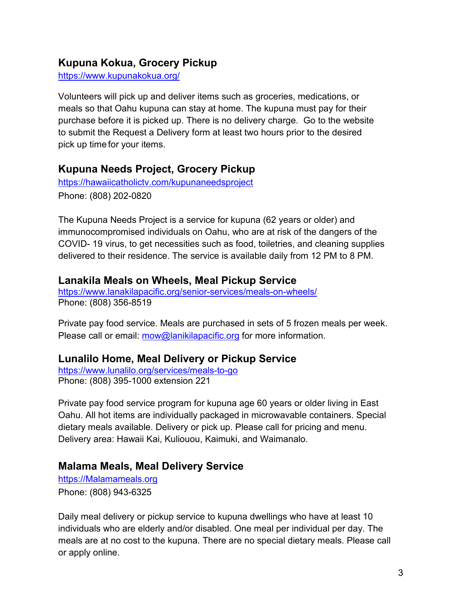## <span id="page-7-0"></span>**Kupuna Kokua, Grocery Pickup**

<https://www.kupunakokua.org/>

Volunteers will pick up and deliver items such as groceries, medications, or meals so that Oahu kupuna can stay at home. The kupuna must pay for their purchase before it is picked up. There is no delivery charge. Go to the website to submit the Request a Delivery form at least two hours prior to the desired pick up time for your items.

### <span id="page-7-1"></span>**Kupuna Needs Project, Grocery Pickup**

<https://hawaiicatholictv.com/kupunaneedsproject> Phone: (808) 202-0820

The Kupuna Needs Project is a service for kupuna (62 years or older) and immunocompromised individuals on Oahu, who are at risk of the dangers of the COVID- 19 virus, to get necessities such as food, toiletries, and cleaning supplies delivered to their residence. The service is available daily from 12 PM to 8 PM.

### <span id="page-7-2"></span>**Lanakila Meals on Wheels, Meal Pickup Service**

<https://www.lanakilapacific.org/senior-services/meals-on-wheels/> Phone: (808) 356-8519

Private pay food service. Meals are purchased in sets of 5 frozen meals per week. Please call or email: [mow@lanikilapacific.org](mailto:mow@lanikilapacific.org) for more information.

### <span id="page-7-3"></span>**Lunalilo Home, Meal Delivery or Pickup Service**

<https://www.lunalilo.org/services/meals-to-go> Phone: (808) 395-1000 extension 221

Private pay food service program for kupuna age 60 years or older living in East Oahu. All hot items are individually packaged in microwavable containers. Special dietary meals available. Delivery or pick up. Please call for pricing and menu. Delivery area: Hawaii Kai, Kuliouou, Kaimuki, and Waimanalo.

### <span id="page-7-4"></span>**Malama Meals, Meal Delivery Service**

[https://Malamameals.org](https://malamameals.org/) Phone: (808) 943-6325

Daily meal delivery or pickup service to kupuna dwellings who have at least 10 individuals who are elderly and/or disabled. One meal per individual per day. The meals are at no cost to the kupuna. There are no special dietary meals. Please call or apply online.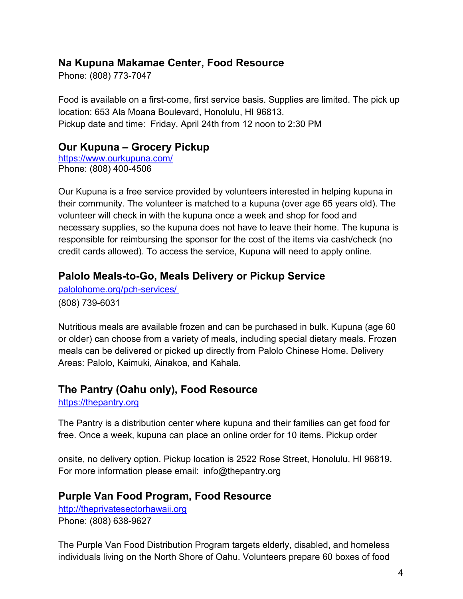## <span id="page-8-0"></span>**Na Kupuna Makamae Center, Food Resource**

Phone: (808) 773-7047

Food is available on a first-come, first service basis. Supplies are limited. The pick up location: 653 Ala Moana Boulevard, Honolulu, HI 96813. Pickup date and time: Friday, April 24th from 12 noon to 2:30 PM

### <span id="page-8-1"></span>**Our Kupuna – Grocery Pickup**

<https://www.ourkupuna.com/> Phone: (808) 400-4506

Our Kupuna is a free service provided by volunteers interested in helping kupuna in their community. The volunteer is matched to a kupuna (over age 65 years old). The volunteer will check in with the kupuna once a week and shop for food and necessary supplies, so the kupuna does not have to leave their home. The kupuna is responsible for reimbursing the sponsor for the cost of the items via cash/check (no credit cards allowed). To access the service, Kupuna will need to apply online.

## <span id="page-8-2"></span>**Palolo Meals-to-Go, Meals Delivery or Pickup Service**

[palolohome.org/pch-services/](http://palolohome.org/pch-services/)  (808) 739-6031

Nutritious meals are available frozen and can be purchased in bulk. Kupuna (age 60 or older) can choose from a variety of meals, including special dietary meals. Frozen meals can be delivered or picked up directly from Palolo Chinese Home. Delivery Areas: Palolo, Kaimuki, Ainakoa, and Kahala.

### <span id="page-8-3"></span>**The Pantry (Oahu only), Food Resource**

[https://thepantry.org](https://thepantry.org/)

The Pantry is a distribution center where kupuna and their families can get food for free. Once a week, kupuna can place an online order for 10 items. Pickup order

onsite, no delivery option. Pickup location is 2522 Rose Street, Honolulu, HI 96819. For more information please email: [info@thepantry.org](mailto:info@thepantry.org)

### <span id="page-8-4"></span>**Purple Van Food Program, Food Resource**

[http://theprivatesectorhawaii.org](http://theprivatesectorhawaii.org/) Phone: (808) 638-9627

The Purple Van Food Distribution Program targets elderly, disabled, and homeless individuals living on the North Shore of Oahu. Volunteers prepare 60 boxes of food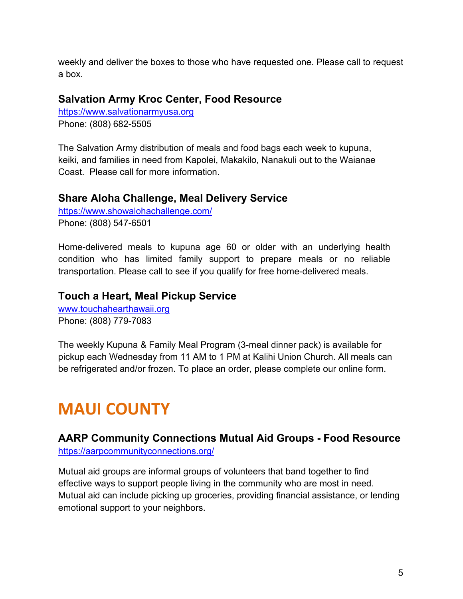weekly and deliver the boxes to those who have requested one. Please call to request a box.

### <span id="page-9-0"></span>**Salvation Army Kroc Center, Food Resource**

[https://www.salvationarmyusa.org](https://www.salvationarmyusa.org/) Phone: (808) 682-5505

The Salvation Army distribution of meals and food bags each week to kupuna, keiki, and families in need from Kapolei, Makakilo, Nanakuli out to the Waianae Coast. Please call for more information.

### <span id="page-9-1"></span>**Share Aloha Challenge, Meal Delivery Service**

<https://www.showalohachallenge.com/> Phone: (808) 547-6501

Home-delivered meals to kupuna age 60 or older with an underlying health condition who has limited family support to prepare meals or no reliable transportation. Please call to see if you qualify for free home-delivered meals.

### <span id="page-9-2"></span>**Touch a Heart, Meal Pickup Service**

[www.touchahearthawaii.org](http://www.touchahearthawaii.org/) Phone: (808) 779-7083

The weekly Kupuna & Family Meal Program (3-meal dinner pack) is available for pickup each Wednesday from 11 AM to 1 PM at Kalihi Union Church. All meals can be refrigerated and/or frozen. To place an order, please complete our online form.

## <span id="page-9-3"></span>**MAUI COUNTY**

### <span id="page-9-4"></span>**AARP Community Connections Mutual Aid Groups - Food Resource** <https://aarpcommunityconnections.org/>

Mutual aid groups are informal groups of volunteers that band together to find effective ways to support people living in the community who are most in need. Mutual aid can include picking up groceries, providing financial assistance, or lending emotional support to your neighbors.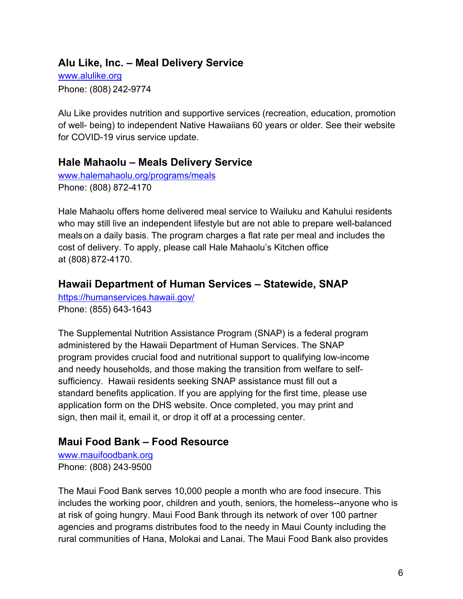### <span id="page-10-0"></span>**Alu Like, Inc. – Meal Delivery Service**

[www.alulike.org](http://www.alulike.org/) Phone: (808) 242-9774

Alu Like provides nutrition and supportive services (recreation, education, promotion of well- being) to independent Native Hawaiians 60 years or older. See their website for COVID-19 virus service update.

### **Hale Mahaolu – Meals Delivery Service**

[www.halemahaolu.org/programs/meals](http://www.halemahaolu.org/programs/meals) Phone: (808) 872-4170

Hale Mahaolu offers home delivered meal service to Wailuku and Kahului residents who may still live an independent lifestyle but are not able to prepare well-balanced meals on a daily basis. The program charges a flat rate per meal and includes the cost of delivery. To apply, please call Hale Mahaolu's Kitchen office at (808) 872-4170.

### <span id="page-10-1"></span>**Hawaii Department of Human Services – Statewide, SNAP**

<https://humanservices.hawaii.gov/> Phone: (855) 643-1643

The Supplemental Nutrition Assistance Program (SNAP) is a federal program administered by the Hawaii Department of Human Services. The SNAP program provides crucial food and nutritional support to qualifying low-income and needy households, and those making the transition from welfare to selfsufficiency. Hawaii residents seeking SNAP assistance must fill out a standard benefits application. If you are applying for the first time, please use application form on the DHS website. Once completed, you may print and sign, then mail it, email it, or drop it off at a processing center.

## <span id="page-10-2"></span>**Maui Food Bank – Food Resource**

[www.mauifoodbank.org](http://www.mauifoodbank.org/) Phone: (808) 243-9500

The Maui Food Bank serves 10,000 people a month who are food insecure. This includes the working poor, children and youth, seniors, the homeless--anyone who is at risk of going hungry. Maui Food Bank through its network of over 100 partner agencies and programs distributes food to the needy in Maui County including the rural communities of Hana, Molokai and Lanai. The Maui Food Bank also provides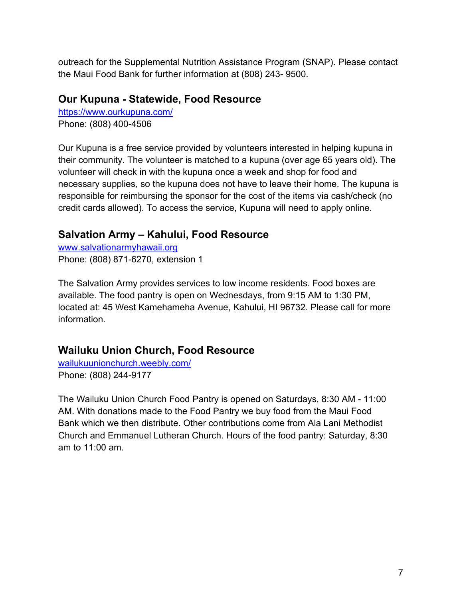outreach for the Supplemental Nutrition Assistance Program (SNAP). Please contact the Maui Food Bank for further information at (808) 243- 9500.

### <span id="page-11-0"></span>**Our Kupuna - Statewide, Food Resource**

<https://www.ourkupuna.com/> Phone: (808) 400-4506

Our Kupuna is a free service provided by volunteers interested in helping kupuna in their community. The volunteer is matched to a kupuna (over age 65 years old). The volunteer will check in with the kupuna once a week and shop for food and necessary supplies, so the kupuna does not have to leave their home. The kupuna is responsible for reimbursing the sponsor for the cost of the items via cash/check (no credit cards allowed). To access the service, Kupuna will need to apply online.

## <span id="page-11-1"></span>**Salvation Army – Kahului, Food Resource**

[www.salvationarmyhawaii.org](http://www.salvationarmyhawaii.org/) Phone: (808) 871-6270, extension 1

The Salvation Army provides services to low income residents. Food boxes are available. The food pantry is open on Wednesdays, from 9:15 AM to 1:30 PM, located at: 45 West Kamehameha Avenue, Kahului, HI 96732. Please call for more information.

### <span id="page-11-2"></span>**Wailuku Union Church, Food Resource**

[wailukuunionchurch.weebly.com/](http://wailukuunionchurch.weebly.com/) Phone: (808) 244-9177

The Wailuku Union Church Food Pantry is opened on Saturdays, 8:30 AM - 11:00 AM. With donations made to the Food Pantry we buy food from the Maui Food Bank which we then distribute. Other contributions come from Ala Lani Methodist Church and Emmanuel Lutheran Church. Hours of the food pantry: Saturday, 8:30 am to 11:00 am.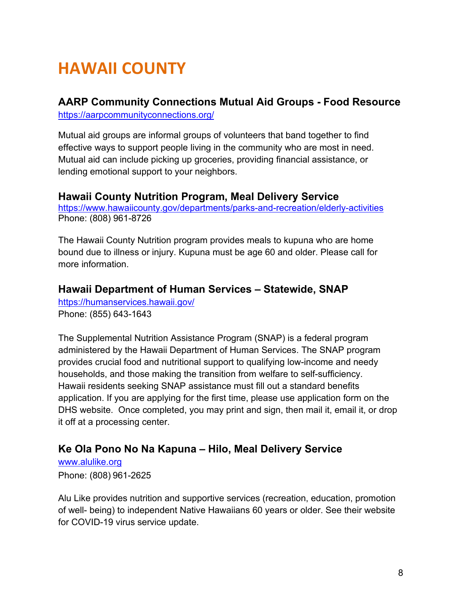# <span id="page-12-0"></span>**HAWAII COUNTY**

## <span id="page-12-1"></span>**AARP Community Connections Mutual Aid Groups - Food Resource**

<https://aarpcommunityconnections.org/>

Mutual aid groups are informal groups of volunteers that band together to find effective ways to support people living in the community who are most in need. Mutual aid can include picking up groceries, providing financial assistance, or lending emotional support to your neighbors.

### **Hawaii County Nutrition Program, Meal Delivery Service**

<https://www.hawaiicounty.gov/departments/parks-and-recreation/elderly-activities> Phone: (808) 961-8726

The Hawaii County Nutrition program provides meals to kupuna who are home bound due to illness or injury. Kupuna must be age 60 and older. Please call for more information.

## <span id="page-12-2"></span>**Hawaii Department of Human Services – Statewide, SNAP**

<https://humanservices.hawaii.gov/> Phone: (855) 643-1643

The Supplemental Nutrition Assistance Program (SNAP) is a federal program administered by the Hawaii Department of Human Services. The SNAP program provides crucial food and nutritional support to qualifying low-income and needy households, and those making the transition from welfare to self-sufficiency. Hawaii residents seeking SNAP assistance must fill out a standard benefits application. If you are applying for the first time, please use application form on the DHS website. Once completed, you may print and sign, then mail it, email it, or drop it off at a processing center.

## <span id="page-12-3"></span>**Ke Ola Pono No Na Kapuna – Hilo, Meal Delivery Service**

[www.alulike.org](http://www.alulike.org/) Phone: (808) 961-2625

Alu Like provides nutrition and supportive services (recreation, education, promotion of well- being) to independent Native Hawaiians 60 years or older. See their website for COVID-19 virus service update.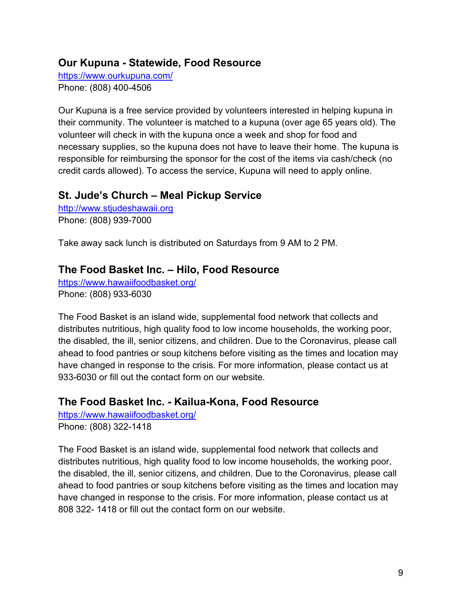### <span id="page-13-0"></span>**Our Kupuna - Statewide, Food Resource**

<https://www.ourkupuna.com/> Phone: (808) 400-4506

Our Kupuna is a free service provided by volunteers interested in helping kupuna in their community. The volunteer is matched to a kupuna (over age 65 years old). The volunteer will check in with the kupuna once a week and shop for food and necessary supplies, so the kupuna does not have to leave their home. The kupuna is responsible for reimbursing the sponsor for the cost of the items via cash/check (no credit cards allowed). To access the service, Kupuna will need to apply online.

### <span id="page-13-1"></span>**St. Jude's Church – Meal Pickup Service**

[http://www.stjudeshawaii.org](http://www.stjudeshawaii.org/) Phone: (808) 939-7000

Take away sack lunch is distributed on Saturdays from 9 AM to 2 PM.

## <span id="page-13-2"></span>**The Food Basket Inc. – Hilo, Food Resource**

[https://www.hawaiifoodbasket.org/](http://www.hawaiifoodbasket.org/) Phone: (808) 933-6030

The Food Basket is an island wide, supplemental food network that collects and distributes nutritious, high quality food to low income households, the working poor, the disabled, the ill, senior citizens, and children. Due to the Coronavirus, please call ahead to food pantries or soup kitchens before visiting as the times and location may have changed in response to the crisis. For more information, please contact us at 933-6030 or fill out the contact form on our website.

## <span id="page-13-3"></span>**The Food Basket Inc. - Kailua-Kona, Food Resource**

<https://www.hawaiifoodbasket.org/> Phone: (808) 322-1418

The Food Basket is an island wide, supplemental food network that collects and distributes nutritious, high quality food to low income households, the working poor, the disabled, the ill, senior citizens, and children. Due to the Coronavirus, please call ahead to food pantries or soup kitchens before visiting as the times and location may have changed in response to the crisis. For more information, please contact us at 808 322-1418 or fill out the contact form on our website.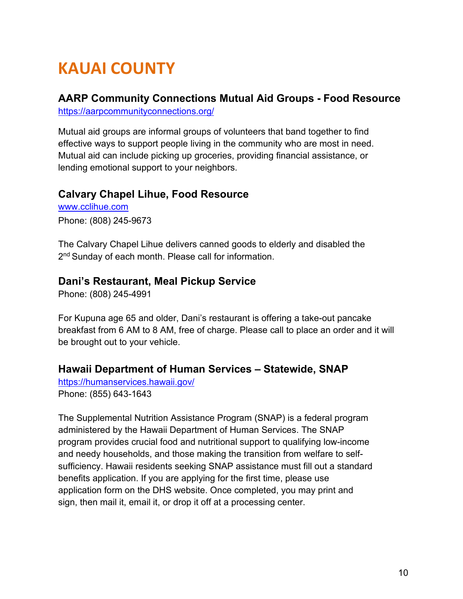# <span id="page-14-0"></span>**KAUAI COUNTY**

## <span id="page-14-1"></span>**AARP Community Connections Mutual Aid Groups - Food Resource**

[https://aarpcommunityconnections.org/](http://aarpcommunityconnections.org/)

Mutual aid groups are informal groups of volunteers that band together to find effective ways to support people living in the community who are most in need. Mutual aid can include picking up groceries, providing financial assistance, or lending emotional support to your neighbors.

## <span id="page-14-2"></span>**Calvary Chapel Lihue, Food Resource**

[www.cclihue.com](http://www.cclihue.com/) Phone: (808) 245-9673

The Calvary Chapel Lihue delivers canned goods to elderly and disabled the 2<sup>nd</sup> Sunday of each month. Please call for information.

### <span id="page-14-3"></span>**Dani's Restaurant, Meal Pickup Service**

Phone: (808) 245-4991

For Kupuna age 65 and older, Dani's restaurant is offering a take-out pancake breakfast from 6 AM to 8 AM, free of charge. Please call to place an order and it will be brought out to your vehicle.

### <span id="page-14-4"></span>**Hawaii Department of Human Services – Statewide, SNAP**

[https://humanservices.hawaii.gov/](http://humanservices.hawaii.gov/) Phone: (855) 643-1643

The Supplemental Nutrition Assistance Program (SNAP) is a federal program administered by the Hawaii Department of Human Services. The SNAP program provides crucial food and nutritional support to qualifying low-income and needy households, and those making the transition from welfare to selfsufficiency. Hawaii residents seeking SNAP assistance must fill out a standard benefits application. If you are applying for the first time, please use application form on the DHS website. Once completed, you may print and sign, then mail it, email it, or drop it off at a processing center.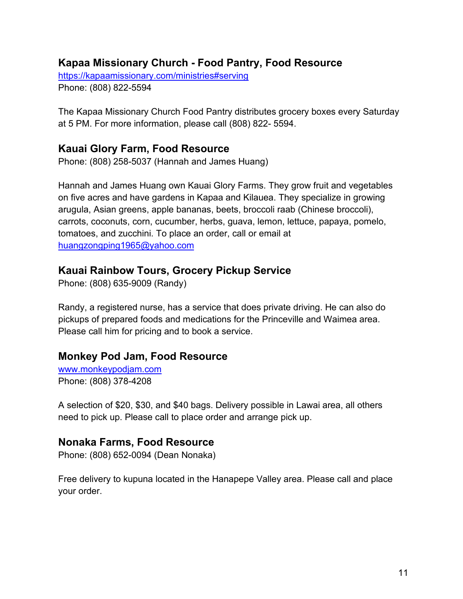### <span id="page-15-0"></span>**Kapaa Missionary Church - Food Pantry, Food Resource**

[https://kapaamissionary.com/ministries#serving](http://kapaamissionary.com/ministries#serving) Phone: (808) 822-5594

The Kapaa Missionary Church Food Pantry distributes grocery boxes every Saturday at 5 PM. For more information, please call (808) 822- 5594.

### <span id="page-15-1"></span>**Kauai Glory Farm, Food Resource**

Phone: (808) 258-5037 (Hannah and James Huang)

Hannah and James Huang own Kauai Glory Farms. They grow fruit and vegetables on five acres and have gardens in Kapaa and Kilauea. They specialize in growing arugula, Asian greens, apple bananas, beets, broccoli raab (Chinese broccoli), carrots, coconuts, corn, cucumber, herbs, guava, lemon, lettuce, papaya, pomelo, tomatoes, and zucchini. To place an order, call or email at [huangzongping1965@yahoo.com](mailto:huangzongping1965@yahoo.com)

### <span id="page-15-2"></span>**Kauai Rainbow Tours, Grocery Pickup Service**

Phone: (808) 635-9009 (Randy)

Randy, a registered nurse, has a service that does private driving. He can also do pickups of prepared foods and medications for the Princeville and Waimea area. Please call him for pricing and to book a service.

### <span id="page-15-3"></span>**Monkey Pod Jam, Food Resource**

[www.monkeypodjam.com](http://www.monkeypodjam.com/) Phone: (808) 378-4208

A selection of \$20, \$30, and \$40 bags. Delivery possible in Lawai area, all others need to pick up. Please call to place order and arrange pick up.

### <span id="page-15-4"></span>**Nonaka Farms, Food Resource**

Phone: (808) 652-0094 (Dean Nonaka)

Free delivery to kupuna located in the Hanapepe Valley area. Please call and place your order.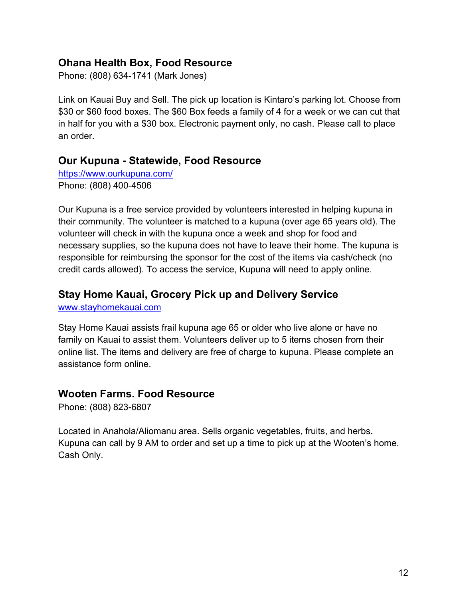### <span id="page-16-0"></span>**Ohana Health Box, Food Resource**

Phone: (808) 634-1741 (Mark Jones)

Link on Kauai Buy and Sell. The pick up location is Kintaro's parking lot. Choose from \$30 or \$60 food boxes. The \$60 Box feeds a family of 4 for a week or we can cut that in half for you with a \$30 box. Electronic payment only, no cash. Please call to place an order.

### <span id="page-16-1"></span>**Our Kupuna - Statewide, Food Resource**

[https://www.ourkupuna.com/](http://www.ourkupuna.com/) Phone: (808) 400-4506

Our Kupuna is a free service provided by volunteers interested in helping kupuna in their community. The volunteer is matched to a kupuna (over age 65 years old). The volunteer will check in with the kupuna once a week and shop for food and necessary supplies, so the kupuna does not have to leave their home. The kupuna is responsible for reimbursing the sponsor for the cost of the items via cash/check (no credit cards allowed). To access the service, Kupuna will need to apply online.

## <span id="page-16-2"></span>**Stay Home Kauai, Grocery Pick up and Delivery Service**

[www.stayhomekauai.com](http://www.stayhomekauai.com/)

Stay Home Kauai assists frail kupuna age 65 or older who live alone or have no family on Kauai to assist them. Volunteers deliver up to 5 items chosen from their online list. The items and delivery are free of charge to kupuna. Please complete an assistance form online.

### <span id="page-16-3"></span>**Wooten Farms. Food Resource**

Phone: (808) 823-6807

Located in Anahola/Aliomanu area. Sells organic vegetables, fruits, and herbs. Kupuna can call by 9 AM to order and set up a time to pick up at the Wooten's home. Cash Only.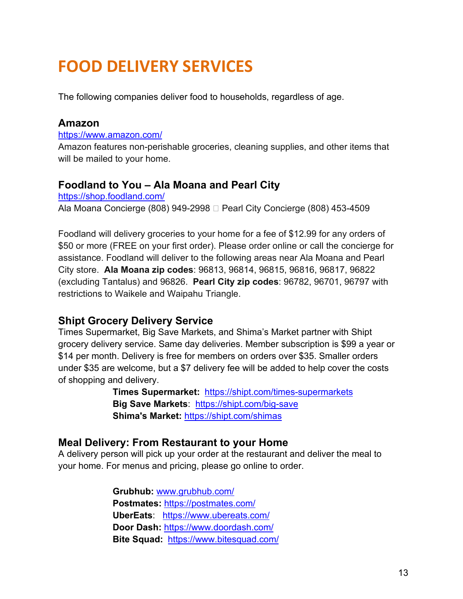# <span id="page-17-0"></span>**FOOD DELIVERY SERVICES**

The following companies deliver food to households, regardless of age.

### <span id="page-17-1"></span>**Amazon**

<https://www.amazon.com/>

Amazon features non-perishable groceries, cleaning supplies, and other items that will be mailed to your home.

### <span id="page-17-2"></span>**Foodland to You – Ala Moana and Pearl City**

<https://shop.foodland.com/> Ala Moana Concierge (808) 949-2998  $\Box$  Pearl City Concierge (808) 453-4509

Foodland will delivery groceries to your home for a fee of \$12.99 for any orders of \$50 or more (FREE on your first order). Please order online or call the concierge for assistance. Foodland will deliver to the following areas near Ala Moana and Pearl City store. **Ala Moana zip codes**: 96813, 96814, 96815, 96816, 96817, 96822 (excluding Tantalus) and 96826. **Pearl City zip codes**: 96782, 96701, 96797 with restrictions to Waikele and Waipahu Triangle.

### <span id="page-17-3"></span>**Shipt Grocery Delivery Service**

Times Supermarket, Big Save Markets, and Shima's Market partner with Shipt grocery delivery service. Same day deliveries. Member subscription is \$99 a year or \$14 per month. Delivery is free for members on orders over \$35. Smaller orders under \$35 are welcome, but a \$7 delivery fee will be added to help cover the costs of shopping and delivery.

> **Times Supermarket:** <https://shipt.com/times-supermarkets> **Big Save Markets**: [https://shipt.com/big-save](https://www.shipt.com/big-save) **Shima's Market:** <https://shipt.com/shimas>

### <span id="page-17-4"></span>**Meal Delivery: From Restaurant to your Home**

A delivery person will pick up your order at the restaurant and deliver the meal to your home. For menus and pricing, please go online to order.

> **Grubhub:** [www.grubhub.com/](http://www.grubhub.com/) **Postmates:** <https://postmates.com/> **UberEats**: <https://www.ubereats.com/> **Door Dash:** <https://www.doordash.com/> **Bite Squad:** <https://www.bitesquad.com/>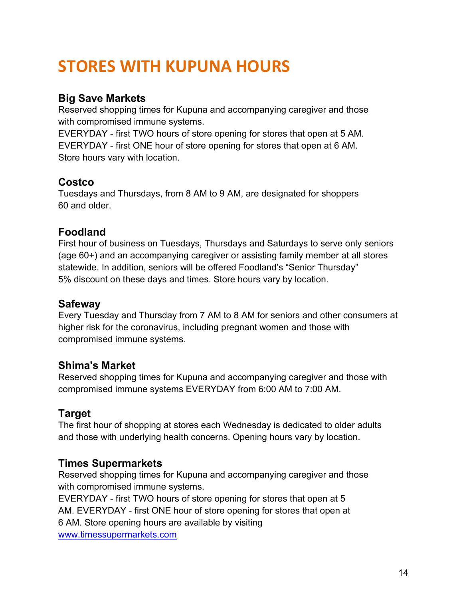# <span id="page-18-0"></span>**STORES WITH KUPUNA HOURS**

## <span id="page-18-1"></span>**Big Save Markets**

Reserved shopping times for Kupuna and accompanying caregiver and those with compromised immune systems.

EVERYDAY - first TWO hours of store opening for stores that open at 5 AM. EVERYDAY - first ONE hour of store opening for stores that open at 6 AM. Store hours vary with location.

## <span id="page-18-2"></span>**Costco**

Tuesdays and Thursdays, from 8 AM to 9 AM, are designated for shoppers 60 and older.

## <span id="page-18-3"></span>**Foodland**

First hour of business on Tuesdays, Thursdays and Saturdays to serve only seniors (age 60+) and an accompanying caregiver or assisting family member at all stores statewide. In addition, seniors will be offered Foodland's "Senior Thursday" 5% discount on these days and times. Store hours vary by location.

### <span id="page-18-4"></span>**Safeway**

Every Tuesday and Thursday from 7 AM to 8 AM for seniors and other consumers at higher risk for the coronavirus, including pregnant women and those with compromised immune systems.

## <span id="page-18-5"></span>**Shima's Market**

Reserved shopping times for Kupuna and accompanying caregiver and those with compromised immune systems EVERYDAY from 6:00 AM to 7:00 AM.

## <span id="page-18-6"></span>**Target**

The first hour of shopping at stores each Wednesday is dedicated to older adults and those with underlying health concerns. Opening hours vary by location.

## <span id="page-18-7"></span>**Times Supermarkets**

Reserved shopping times for Kupuna and accompanying caregiver and those with compromised immune systems.

EVERYDAY - first TWO hours of store opening for stores that open at 5 AM. EVERYDAY - first ONE hour of store opening for stores that open at 6 AM. Store opening hours are available by visiting [www.timessupermarkets.com](http://www.timessupermarkets.com/)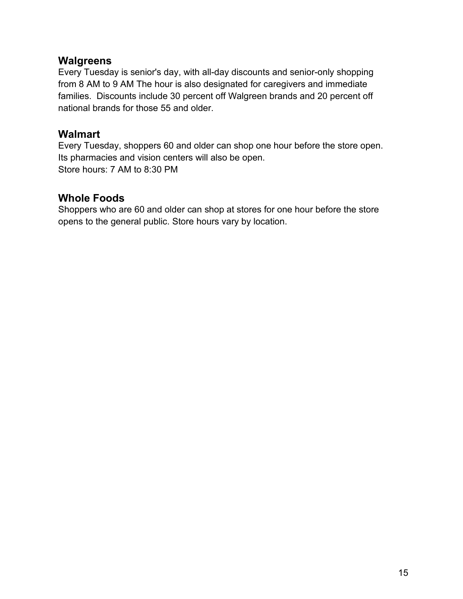### <span id="page-19-0"></span>**Walgreens**

Every Tuesday is senior's day, with all-day discounts and senior-only shopping from 8 AM to 9 AM The hour is also designated for caregivers and immediate families. Discounts include 30 percent off Walgreen brands and 20 percent off national brands for those 55 and older.

### <span id="page-19-1"></span>**Walmart**

Every Tuesday, shoppers 60 and older can shop one hour before the store open. Its pharmacies and vision centers will also be open. Store hours: 7 AM to 8:30 PM

### <span id="page-19-2"></span>**Whole Foods**

Shoppers who are 60 and older can shop at stores for one hour before the store opens to the general public. Store hours vary by location.